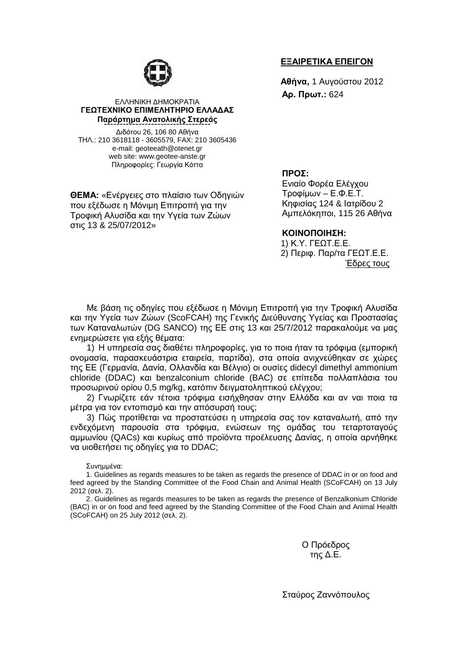

### ΕΛΛΗΝΙΚΗ ∆ΗΜΟΚΡΑΤΙΑ **ΓΕΩΤΕΧΝΙΚΟ ΕΠΙΜΕΛΗΤΗΡΙΟ ΕΛΛΑ∆ΑΣ Παράρτηµα Ανατολικής Στερεάς** ----------------------------------

∆ιδότου 26, 106 80 Αθήνα ΤΗΛ.: 210 3618118 - 3605579, FAX: 210 3605436 e-mail: geoteeath@otenet.gr web site: www.geotee-anste.gr Πληροφορίες: Γεωργία Κόττα

**ΘΕΜΑ:** «Ενέργειες στο πλαίσιο των Οδηγιών που εξέδωσε η Μόνιµη Επιτροπή για την Τροφική Αλυσίδα και την Υγεία των Ζώων στις 13 & 25/07/2012»

#### **ΕΞΑΙΡΕΤΙΚΑ ΕΠΕΙΓΟΝ**

**Αθήνα,** 1 Αυγούστου 2012 **Αρ. Πρωτ.:** 624

#### **ΠΡΟΣ:**

Ενιαίο Φορέα Ελέγχου Τροφίµων – Ε.Φ.Ε.Τ. Κηφισίας 124 & Ιατρίδου 2 Αµπελόκηποι, 115 26 Αθήνα

#### **ΚΟΙΝΟΠΟΙΗΣΗ:**

1) Κ.Υ. ΓΕΩΤ.Ε.Ε. 2) Περιφ. Παρ/τα ΓΕΩΤ.Ε.Ε. Έδρες τους

Με βάση τις οδηγίες που εξέδωσε η Μόνιµη Επιτροπή για την Τροφική Αλυσίδα και την Υγεία των Ζώων (ScoFCAH) της Γενικής ∆ιεύθυνσης Υγείας και Προστασίας των Καταναλωτών (DG SANCO) της ΕΕ στις 13 και 25/7/2012 παρακαλούµε να µας ενηµερώσετε για εξής θέµατα:

1) Η υπηρεσία σας διαθέτει πληροφορίες, για το ποια ήταν τα τρόφιµα (εµπορική ονοµασία, παρασκευάστρια εταιρεία, παρτίδα), στα οποία ανιχνεύθηκαν σε χώρες της ΕΕ (Γερµανία, ∆ανία, Ολλανδία και Βέλγιο) οι ουσίες didecyl dimethyl ammonium chloride (DDAC) και benzalconium chloride (BAC) σε επίπεδα πολλαπλάσια του προσωρινού ορίου 0,5 mg/kg, κατόπιν δειγµατοληπτικού ελέγχου;

2) Γνωρίζετε εάν τέτοια τρόφιµα εισήχθησαν στην Ελλάδα και αν ναι ποια τα µέτρα για τον εντοπισµό και την απόσυρσή τους;

3) Πώς προτίθεται να προστατεύσει η υπηρεσία σας τον καταναλωτή, από την ενδεχόµενη παρουσία στα τρόφιµα, ενώσεων της οµάδας του τεταρτοταγούς αµµωνίου (QACs) και κυρίως από προϊόντα προέλευσης ∆ανίας, η οποία αρνήθηκε να υιοθετήσει τις οδηγίες για το DDAC;

Συνηµµένα:

1. Guidelines as regards measures to be taken as regards the presence of DDAC in or on food and feed agreed by the Standing Committee of the Food Chain and Animal Health (SCoFCAH) on 13 July 2012 (σελ. 2).

2. Guidelines as regards measures to be taken as regards the presence of Benzalkonium Chloride (BAC) in or on food and feed agreed by the Standing Committee of the Food Chain and Animal Health (SCoFCAH) on 25 July 2012 (σελ. 2).

> Ο Πρόεδρος της ∆.Ε.

Σταύρος Ζαννόπουλος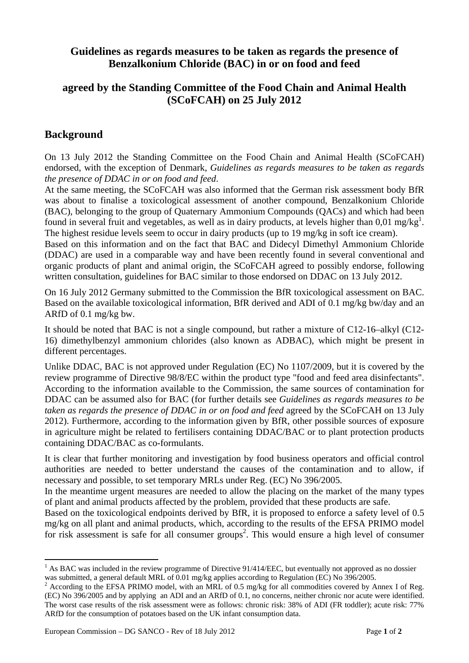# **Guidelines as regards measures to be taken as regards the presence of Benzalkonium Chloride (BAC) in or on food and feed**

# **agreed by the Standing Committee of the Food Chain and Animal Health (SCoFCAH) on 25 July 2012**

# **Background**

On 13 July 2012 the Standing Committee on the Food Chain and Animal Health (SCoFCAH) endorsed, with the exception of Denmark, *Guidelines as regards measures to be taken as regards the presence of DDAC in or on food and feed*.

At the same meeting, the SCoFCAH was also informed that the German risk assessment body BfR was about to finalise a toxicological assessment of another compound, Benzalkonium Chloride (BAC), belonging to the group of Quaternary Ammonium Compounds (QACs) and which had been found in several fruit and vegetables, as well as in dairy products, at levels higher than  $0.01 \text{ mg/kg}^1$ . The highest residue levels seem to occur in dairy products (up to 19 mg/kg in soft ice cream).

Based on this information and on the fact that BAC and Didecyl Dimethyl Ammonium Chloride (DDAC) are used in a comparable way and have been recently found in several conventional and organic products of plant and animal origin, the SCoFCAH agreed to possibly endorse, following written consultation, guidelines for BAC similar to those endorsed on DDAC on 13 July 2012.

On 16 July 2012 Germany submitted to the Commission the BfR toxicological assessment on BAC. Based on the available toxicological information, BfR derived and ADI of 0.1 mg/kg bw/day and an ARfD of 0.1 mg/kg bw.

It should be noted that BAC is not a single compound, but rather a mixture of C12-16–alkyl (C12- 16) dimethylbenzyl ammonium chlorides (also known as ADBAC), which might be present in different percentages.

Unlike DDAC, BAC is not approved under Regulation (EC) No 1107/2009, but it is covered by the review programme of Directive 98/8/EC within the product type "food and feed area disinfectants". According to the information available to the Commission, the same sources of contamination for DDAC can be assumed also for BAC (for further details see *Guidelines as regards measures to be taken as regards the presence of DDAC in or on food and feed* agreed by the SCoFCAH on 13 July 2012). Furthermore, according to the information given by BfR, other possible sources of exposure in agriculture might be related to fertilisers containing DDAC/BAC or to plant protection products containing DDAC/BAC as co-formulants.

It is clear that further monitoring and investigation by food business operators and official control authorities are needed to better understand the causes of the contamination and to allow, if necessary and possible, to set temporary MRLs under Reg. (EC) No 396/2005.

In the meantime urgent measures are needed to allow the placing on the market of the many types of plant and animal products affected by the problem, provided that these products are safe.

Based on the toxicological endpoints derived by BfR, it is proposed to enforce a safety level of 0.5 mg/kg on all plant and animal products, which, according to the results of the EFSA PRIMO model for risk assessment is safe for all consumer groups<sup>2</sup>. This would ensure a high level of consumer

 $\overline{a}$ 

 $<sup>1</sup>$  As BAC was included in the review programme of Directive 91/414/EEC, but eventually not approved as no dossier</sup> was submitted, a general default MRL of 0.01 mg/kg applies according to Regulation (EC) No 396/2005.

<sup>&</sup>lt;sup>2</sup> According to the EFSA PRIMO model, with an MRL of 0.5 mg/kg for all commodities covered by Annex I of Reg. (EC) No 396/2005 and by applying an ADI and an ARfD of 0.1, no concerns, neither chronic nor acute were identified. The worst case results of the risk assessment were as follows: chronic risk: 38% of ADI (FR toddler); acute risk: 77% ARfD for the consumption of potatoes based on the UK infant consumption data.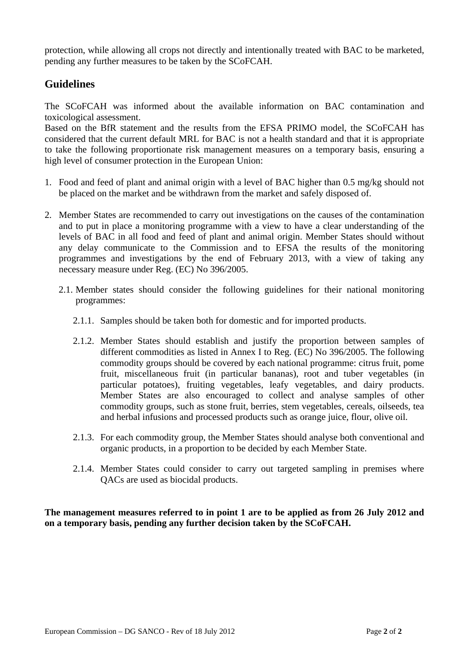protection, while allowing all crops not directly and intentionally treated with BAC to be marketed, pending any further measures to be taken by the SCoFCAH.

# **Guidelines**

The SCoFCAH was informed about the available information on BAC contamination and toxicological assessment.

Based on the BfR statement and the results from the EFSA PRIMO model, the SCoFCAH has considered that the current default MRL for BAC is not a health standard and that it is appropriate to take the following proportionate risk management measures on a temporary basis, ensuring a high level of consumer protection in the European Union:

- 1. Food and feed of plant and animal origin with a level of BAC higher than 0.5 mg/kg should not be placed on the market and be withdrawn from the market and safely disposed of.
- 2. Member States are recommended to carry out investigations on the causes of the contamination and to put in place a monitoring programme with a view to have a clear understanding of the levels of BAC in all food and feed of plant and animal origin. Member States should without any delay communicate to the Commission and to EFSA the results of the monitoring programmes and investigations by the end of February 2013, with a view of taking any necessary measure under Reg. (EC) No 396/2005.
	- 2.1. Member states should consider the following guidelines for their national monitoring programmes:
		- 2.1.1. Samples should be taken both for domestic and for imported products.
		- 2.1.2. Member States should establish and justify the proportion between samples of different commodities as listed in Annex I to Reg. (EC) No 396/2005. The following commodity groups should be covered by each national programme: citrus fruit, pome fruit, miscellaneous fruit (in particular bananas), root and tuber vegetables (in particular potatoes), fruiting vegetables, leafy vegetables, and dairy products. Member States are also encouraged to collect and analyse samples of other commodity groups, such as stone fruit, berries, stem vegetables, cereals, oilseeds, tea and herbal infusions and processed products such as orange juice, flour, olive oil.
		- 2.1.3. For each commodity group, the Member States should analyse both conventional and organic products, in a proportion to be decided by each Member State.
		- 2.1.4. Member States could consider to carry out targeted sampling in premises where QACs are used as biocidal products.

**The management measures referred to in point 1 are to be applied as from 26 July 2012 and on a temporary basis, pending any further decision taken by the SCoFCAH.**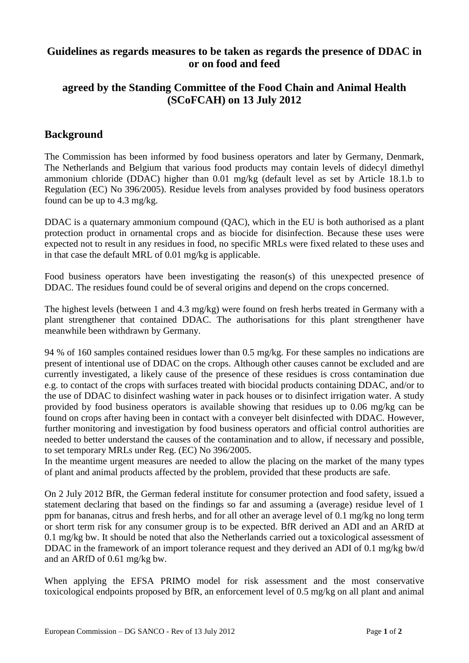### **Guidelines as regards measures to be taken as regards the presence of DDAC in or on food and feed**

# **agreed by the Standing Committee of the Food Chain and Animal Health (SCoFCAH) on 13 July 2012**

# **Background**

The Commission has been informed by food business operators and later by Germany, Denmark, The Netherlands and Belgium that various food products may contain levels of didecyl dimethyl ammonium chloride (DDAC) higher than 0.01 mg/kg (default level as set by Article 18.1.b to Regulation (EC) No 396/2005). Residue levels from analyses provided by food business operators found can be up to 4.3 mg/kg.

DDAC is a quaternary ammonium compound (QAC), which in the EU is both authorised as a plant protection product in ornamental crops and as biocide for disinfection. Because these uses were expected not to result in any residues in food, no specific MRLs were fixed related to these uses and in that case the default MRL of 0.01 mg/kg is applicable.

Food business operators have been investigating the reason(s) of this unexpected presence of DDAC. The residues found could be of several origins and depend on the crops concerned.

The highest levels (between 1 and 4.3 mg/kg) were found on fresh herbs treated in Germany with a plant strengthener that contained DDAC. The authorisations for this plant strengthener have meanwhile been withdrawn by Germany.

94 % of 160 samples contained residues lower than 0.5 mg/kg. For these samples no indications are present of intentional use of DDAC on the crops. Although other causes cannot be excluded and are currently investigated, a likely cause of the presence of these residues is cross contamination due e.g. to contact of the crops with surfaces treated with biocidal products containing DDAC, and/or to the use of DDAC to disinfect washing water in pack houses or to disinfect irrigation water. A study provided by food business operators is available showing that residues up to 0.06 mg/kg can be found on crops after having been in contact with a conveyer belt disinfected with DDAC. However, further monitoring and investigation by food business operators and official control authorities are needed to better understand the causes of the contamination and to allow, if necessary and possible, to set temporary MRLs under Reg. (EC) No 396/2005.

In the meantime urgent measures are needed to allow the placing on the market of the many types of plant and animal products affected by the problem, provided that these products are safe.

On 2 July 2012 BfR, the German federal institute for consumer protection and food safety, issued a statement declaring that based on the findings so far and assuming a (average) residue level of 1 ppm for bananas, citrus and fresh herbs, and for all other an average level of 0.1 mg/kg no long term or short term risk for any consumer group is to be expected. BfR derived an ADI and an ARfD at 0.1 mg/kg bw. It should be noted that also the Netherlands carried out a toxicological assessment of DDAC in the framework of an import tolerance request and they derived an ADI of 0.1 mg/kg bw/d and an ARfD of 0.61 mg/kg bw.

When applying the EFSA PRIMO model for risk assessment and the most conservative toxicological endpoints proposed by BfR, an enforcement level of 0.5 mg/kg on all plant and animal